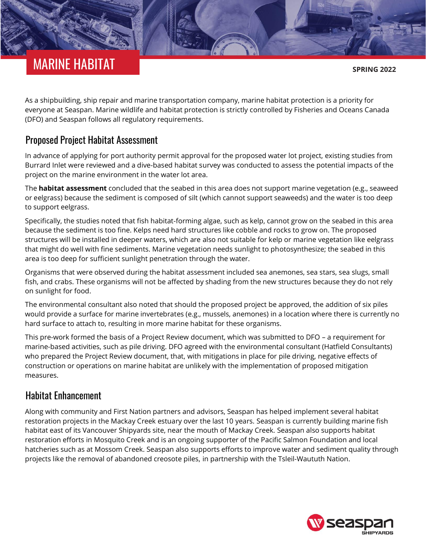# MARINE HABITAT

**SPRING 2022**

As a shipbuilding, ship repair and marine transportation company, marine habitat protection is a priority for everyone at Seaspan. Marine wildlife and habitat protection is strictly controlled by Fisheries and Oceans Canada (DFO) and Seaspan follows all regulatory requirements.

#### Proposed Project Habitat Assessment

In advance of applying for port authority permit approval for the proposed water lot project, existing studies from Burrard Inlet were reviewed and a dive-based habitat survey was conducted to assess the potential impacts of the project on the marine environment in the water lot area.

The **[habitat assessment](https://drydockprojects.com/wp-content/uploads/2021/06/12-Habitat-Assessment-optimized.pdf)** concluded that the seabed in this area does not support marine vegetation (e.g., seaweed or eelgrass) because the sediment is composed of silt (which cannot support seaweeds) and the water is too deep to support eelgrass.

Specifically, the studies noted that fish habitat-forming algae, such as kelp, cannot grow on the seabed in this area because the sediment is too fine. Kelps need hard structures like cobble and rocks to grow on. The proposed structures will be installed in deeper waters, which are also not suitable for kelp or marine vegetation like eelgrass that might do well with fine sediments. Marine vegetation needs sunlight to photosynthesize; the seabed in this area is too deep for sufficient sunlight penetration through the water.

Organisms that were observed during the habitat assessment included sea anemones, sea stars, sea slugs, small fish, and crabs. These organisms will not be affected by shading from the new structures because they do not rely on sunlight for food.

The environmental consultant also noted that should the proposed project be approved, the addition of six piles would provide a surface for marine invertebrates (e.g., mussels, anemones) in a location where there is currently no hard surface to attach to, resulting in more marine habitat for these organisms.

This pre-work formed the basis of a Project Review document, which was submitted to DFO – a requirement for marine-based activities, such as pile driving. DFO agreed with the environmental consultant (Hatfield Consultants) who prepared the Project Review document, that, with mitigations in place for pile driving, negative effects of construction or operations on marine habitat are unlikely with the implementation of proposed mitigation measures.

## Habitat Enhancement

Along with community and First Nation partners and advisors, Seaspan has helped implement several habitat restoration projects in the Mackay Creek estuary over the last 10 years. Seaspan is currently building marine fish habitat east of its Vancouver Shipyards site, near the mouth of Mackay Creek. Seaspan also supports habitat restoration efforts in Mosquito Creek and is an ongoing supporter of the Pacific Salmon Foundation and local hatcheries such as at Mossom Creek. Seaspan also supports efforts to improve water and sediment quality through projects like the removal of abandoned creosote piles, in partnership with the Tsleil-Waututh Nation.